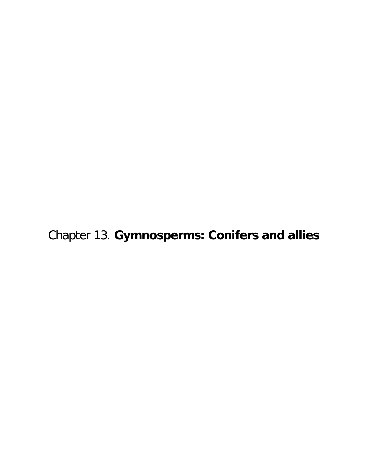Chapter 13. **Gymnosperms: Conifers and allies**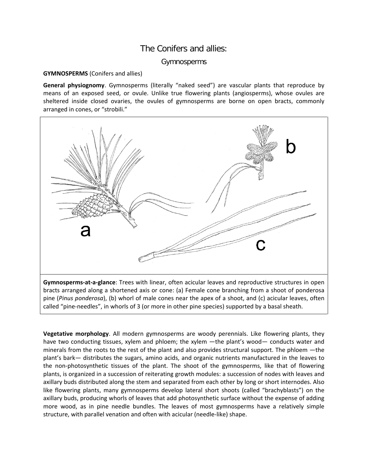## The Conifers and allies:

## Gymnosperms

## **GYMNOSPERMS** (Conifers and allies)

**General physiognomy**. Gymnosperms (literally "naked seed") are vascular plants that reproduce by means of an exposed seed, or ovule. Unlike true flowering plants (angiosperms), whose ovules are sheltered inside closed ovaries, the ovules of gymnosperms are borne on open bracts, commonly arranged in cones, or "strobili."



bracts arranged along a shortened axis or cone: (a) Female cone branching from a shoot of ponderosa pine (*Pinus ponderosa*), (b) whorl of male cones near the apex of a shoot, and (c) acicular leaves, often called "pine-needles", in whorls of 3 (or more in other pine species) supported by a basal sheath.

**Vegetative morphology**. All modern gymnosperms are woody perennials. Like flowering plants, they have two conducting tissues, xylem and phloem; the xylem —the plant's wood— conducts water and minerals from the roots to the rest of the plant and also provides structural support. The phloem —the plant's bark— distributes the sugars, amino acids, and organic nutrients manufactured in the leaves to the non-photosynthetic tissues of the plant. The shoot of the gymnosperms, like that of flowering plants, is organized in a succession of reiterating growth modules: a succession of nodes with leaves and axillary buds distributed along the stem and separated from each other by long or short internodes. Also like flowering plants, many gymnosperms develop lateral short shoots (called "brachyblasts") on the axillary buds, producing whorls of leaves that add photosynthetic surface without the expense of adding more wood, as in pine needle bundles. The leaves of most gymnosperms have a relatively simple structure, with parallel venation and often with acicular (needle-like) shape.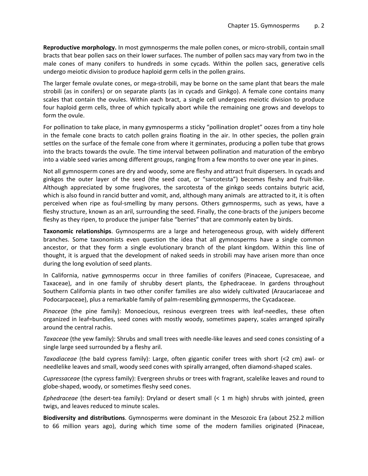**Reproductive morphology.** In most gymnosperms the male pollen cones, or micro-strobili, contain small bracts that bear pollen sacs on their lower surfaces. The number of pollen sacs may vary from two in the male cones of many conifers to hundreds in some cycads. Within the pollen sacs, generative cells undergo meiotic division to produce haploid germ cells in the pollen grains.

The larger female ovulate cones, or mega-strobili, may be borne on the same plant that bears the male strobili (as in conifers) or on separate plants (as in cycads and Ginkgo). A female cone contains many scales that contain the ovules. Within each bract, a single cell undergoes meiotic division to produce four haploid germ cells, three of which typically abort while the remaining one grows and develops to form the ovule.

For pollination to take place, in many gymnosperms a sticky "pollination droplet" oozes from a tiny hole in the female cone bracts to catch pollen grains floating in the air. In other species, the pollen grain settles on the surface of the female cone from where it germinates, producing a pollen tube that grows into the bracts towards the ovule. The time interval between pollination and maturation of the embryo into a viable seed varies among different groups, ranging from a few months to over one year in pines.

Not all gymnosperm cones are dry and woody, some are fleshy and attract fruit dispersers. In cycads and ginkgos the outer layer of the seed (the seed coat, or "sarcotesta") becomes fleshy and fruit-like. Although appreciated by some frugivores, the sarcotesta of the ginkgo seeds contains butyric acid, which is also found in rancid butter and vomit, and, although many animals are attracted to it, it is often perceived when ripe as foul-smelling by many persons. Others gymnosperms, such as yews, have a fleshy structure, known as an aril, surrounding the seed. Finally, the cone-bracts of the junipers become fleshy as they ripen, to produce the juniper false "berries" that are commonly eaten by birds.

**Taxonomic relationships**. Gymnosperms are a large and heterogeneous group, with widely different branches. Some taxonomists even question the idea that all gymnosperms have a single common ancestor, or that they form a single evolutionary branch of the plant kingdom. Within this line of thought, it is argued that the development of naked seeds in strobili may have arisen more than once during the long evolution of seed plants.

In California, native gymnosperms occur in three families of conifers (Pinaceae, Cupresaceae, and Taxaceae), and in one family of shrubby desert plants, the Ephedraceae. In gardens throughout Southern California plants in two other conifer families are also widely cultivated (Araucariaceae and Podocarpaceae), plus a remarkable family of palm-resembling gymnosperms, the Cycadaceae.

*Pinaceae* (the pine family): Monoecious, resinous evergreen trees with leaf-needles, these often organized in leaf=bundles, seed cones with mostly woody, sometimes papery, scales arranged spirally around the central rachis.

*Taxaceae* (the yew family): Shrubs and small trees with needle-like leaves and seed cones consisting of a single large seed surrounded by a fleshy aril.

*Taxodiaceae* (the bald cypress family): Large, often gigantic conifer trees with short (<2 cm) awl- or needlelike leaves and small, woody seed cones with spirally arranged, often diamond-shaped scales.

*Cupressaceae* (the cypress family): Evergreen shrubs or trees with fragrant, scalelike leaves and round to globe-shaped, woody, or sometimes fleshy seed cones.

*Ephedraceae* (the desert-tea family): Dryland or desert small (< 1 m high) shrubs with jointed, green twigs, and leaves reduced to minute scales.

**Biodiversity and distributions**. Gymnosperms were dominant in the Mesozoic Era (about 252.2 million to 66 million years ago), during which time some of the modern families originated (Pinaceae,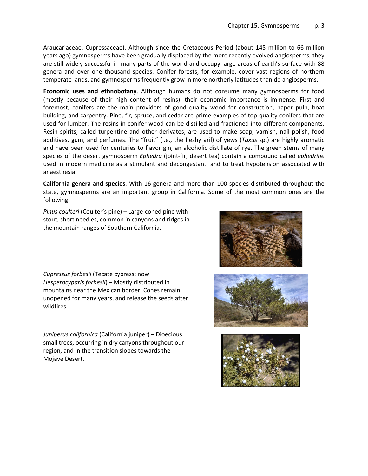Araucariaceae, Cupressaceae). Although since the Cretaceous Period (about 145 million to 66 million years ago) gymnosperms have been gradually displaced by the more recently evolved angiosperms, they are still widely successful in many parts of the world and occupy large areas of earth's surface with 88 genera and over one thousand species. Conifer forests, for example, cover vast regions of northern temperate lands, and gymnosperms frequently grow in more northerly latitudes than do angiosperms.

**Economic uses and ethnobotany**. Although humans do not consume many gymnosperms for food (mostly because of their high content of resins), their economic importance is immense. First and foremost, conifers are the main providers of good quality wood for construction, paper pulp, boat building, and carpentry. Pine, fir, spruce, and cedar are prime examples of top-quality conifers that are used for lumber. The resins in conifer wood can be distilled and fractioned into different components. Resin spirits, called turpentine and other derivates, are used to make soap, varnish, nail polish, food additives, gum, and perfumes. The "fruit" (i.e., the fleshy aril) of yews (*Taxus* sp.) are highly aromatic and have been used for centuries to flavor gin, an alcoholic distillate of rye. The green stems of many species of the desert gymnosperm *Ephedra* (joint-fir, desert tea) contain a compound called *ephedrine* used in modern medicine as a stimulant and decongestant, and to treat hypotension associated with anaesthesia.

**California genera and species**. With 16 genera and more than 100 species distributed throughout the state, gymnosperms are an important group in California. Some of the most common ones are the following:

*Pinus coulteri* (Coulter's pine) – Large-coned pine with stout, short needles, common in canyons and ridges in the mountain ranges of Southern California.

*Cupressus forbesii* (Tecate cypress; now *Hesperocyparis forbesii*) – Mostly distributed in mountains near the Mexican border. Cones remain unopened for many years, and release the seeds after wildfires.

*Juniperus californica* (California juniper) – Dioecious small trees, occurring in dry canyons throughout our region, and in the transition slopes towards the Mojave Desert.